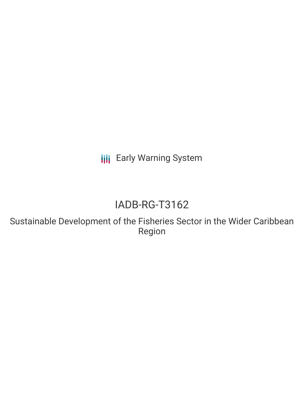**III** Early Warning System

## IADB-RG-T3162

Sustainable Development of the Fisheries Sector in the Wider Caribbean Region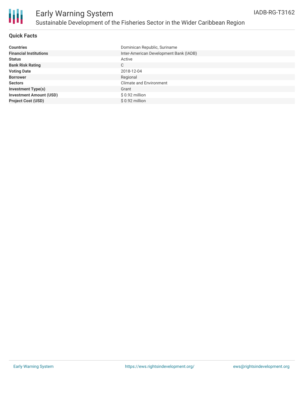

#### **Quick Facts**

| <b>Countries</b>               | Dominican Republic, Suriname           |
|--------------------------------|----------------------------------------|
| <b>Financial Institutions</b>  | Inter-American Development Bank (IADB) |
| <b>Status</b>                  | Active                                 |
| <b>Bank Risk Rating</b>        | C                                      |
| <b>Voting Date</b>             | 2018-12-04                             |
| <b>Borrower</b>                | Regional                               |
| <b>Sectors</b>                 | Climate and Environment                |
| <b>Investment Type(s)</b>      | Grant                                  |
| <b>Investment Amount (USD)</b> | $$0.92$ million                        |
| <b>Project Cost (USD)</b>      | \$ 0.92 million                        |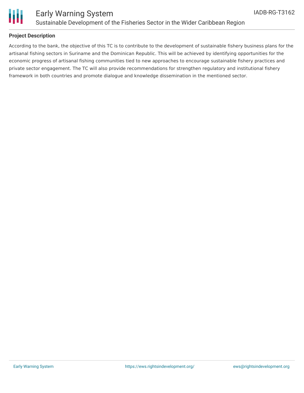

# Ш

### Early Warning System Sustainable Development of the Fisheries Sector in the Wider Caribbean Region

#### **Project Description**

According to the bank, the objective of this TC is to contribute to the development of sustainable fishery business plans for the artisanal fishing sectors in Suriname and the Dominican Republic. This will be achieved by identifying opportunities for the economic progress of artisanal fishing communities tied to new approaches to encourage sustainable fishery practices and private sector engagement. The TC will also provide recommendations for strengthen regulatory and institutional fishery framework in both countries and promote dialogue and knowledge dissemination in the mentioned sector.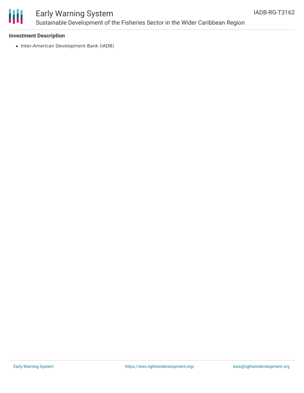

## Early Warning System Sustainable Development of the Fisheries Sector in the Wider Caribbean Region

#### **Investment Description**

• Inter-American Development Bank (IADB)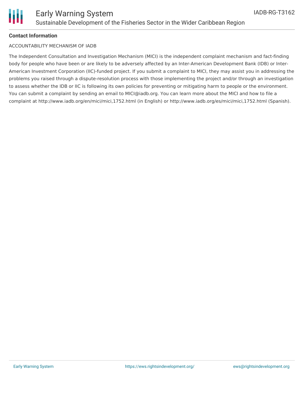

#### **Contact Information**

#### ACCOUNTABILITY MECHANISM OF IADB

The Independent Consultation and Investigation Mechanism (MICI) is the independent complaint mechanism and fact-finding body for people who have been or are likely to be adversely affected by an Inter-American Development Bank (IDB) or Inter-American Investment Corporation (IIC)-funded project. If you submit a complaint to MICI, they may assist you in addressing the problems you raised through a dispute-resolution process with those implementing the project and/or through an investigation to assess whether the IDB or IIC is following its own policies for preventing or mitigating harm to people or the environment. You can submit a complaint by sending an email to MICI@iadb.org. You can learn more about the MICI and how to file a complaint at http://www.iadb.org/en/mici/mici,1752.html (in English) or http://www.iadb.org/es/mici/mici,1752.html (Spanish).